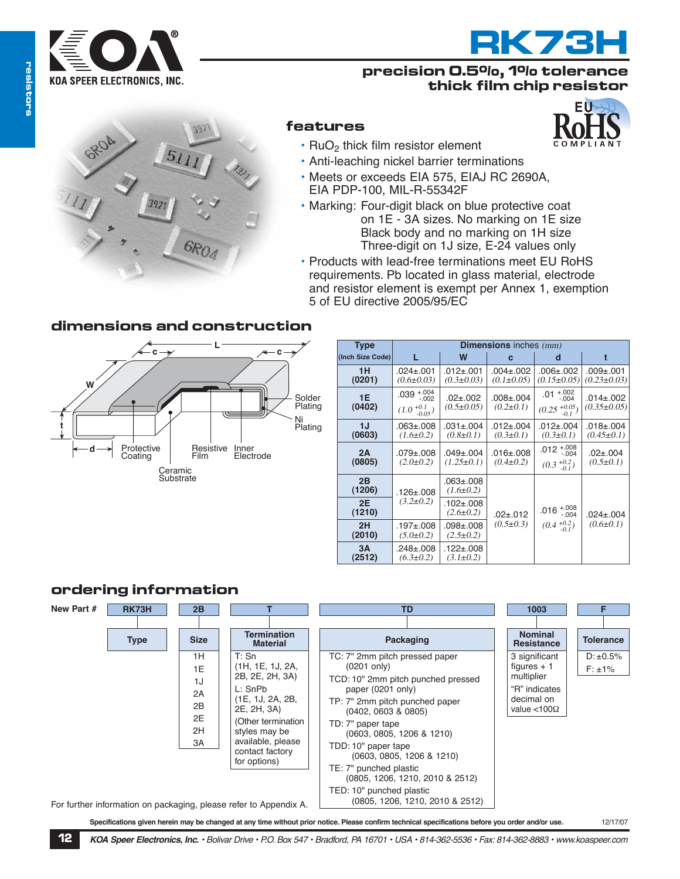

# **RK73H**

## **precision 0.5%, 1% tolerance thick film chip resistor**



## **features**

- $\cdot$  RuO<sub>2</sub> thick film resistor element
- Anti-leaching nickel barrier terminations
- Meets or exceeds EIA 575, EIAJ RC 2690A, EIA PDP-100, MIL-R-55342F
- Marking: Four-digit black on blue protective coat on 1E - 3A sizes. No marking on 1E size Black body and no marking on 1H size Three-digit on 1J size, E-24 values only
- Products with lead-free terminations meet EU RoHS requirements. Pb located in glass material, electrode and resistor element is exempt per Annex 1, exemption 5 of EU directive 2005/95/EC

# **dimensions and construction**



| Type             | <b>Dimensions</b> inches $(mm)$                     |                                     |                                     |                                                        |                                      |  |  |  |
|------------------|-----------------------------------------------------|-------------------------------------|-------------------------------------|--------------------------------------------------------|--------------------------------------|--|--|--|
| (Inch Size Code) | L                                                   | W                                   | C                                   | d                                                      | t                                    |  |  |  |
| 1H<br>(0201)     | $.024 \pm .001$<br>$(0.6 \pm 0.03)$                 | $.012 + .001$<br>$(0.3 \pm 0.03)$   | $.004 \pm .002$<br>$(0.1 \pm 0.05)$ | $.006 + .002$<br>$(0.15 \pm 0.05)$                     | $.009 + .001$<br>$(0.23 \pm 0.03)$   |  |  |  |
| 1E<br>(0402)     | $.039 + .004$<br>$(1.0 + 0.1)$ <sub>-0.05</sub> $)$ | $.02 + .002$<br>$(0.5 \pm 0.05)$    | $.008 \pm .004$<br>$(0.2 \pm 0.1)$  | $.01 + .002$<br>$-.004$<br>$(0.25 \frac{+0.05}{-0.1})$ | $.014 \pm .002$<br>$(0.35 \pm 0.05)$ |  |  |  |
| 1J<br>(0603)     | $.063 + .008$<br>$(1.6 \pm 0.2)$                    | $.031 + .004$<br>$(0.8 \pm 0.1)$    | $.012 + .004$<br>$(0.3 \pm 0.1)$    | $.012 \pm .004$<br>$(0.3 \pm 0.1)$                     | $.018 + .004$<br>$(0.45 \pm 0.1)$    |  |  |  |
| 2A<br>(0805)     | $.079 + .008$<br>$(2.0 \pm 0.2)$                    | $.049 \pm .004$<br>$(1.25 \pm 0.1)$ | $.016 \pm .008$<br>$(0.4 \pm 0.2)$  | $.012^{+.008}_{-.004}$<br>$(0.3^{+0.2}_{-0.1})$        | $.02 + .004$<br>$(0.5 \pm 0.1)$      |  |  |  |
| 2B<br>(1206)     | $.126 \pm .008$                                     | $.063 + .008$<br>$(1.6 \pm 0.2)$    |                                     | $.016^{+.008}_{-.004}$<br>$(0.4^{+0.2}_{-0.1})$        | $.024 \pm .004$<br>$(0.6 \pm 0.1)$   |  |  |  |
| 2E<br>(1210)     | $(3.2 \pm 0.2)$                                     | $.102 + .008$<br>$(2.6 \pm 0.2)$    | $.02 + .012$                        |                                                        |                                      |  |  |  |
| 2H<br>(2010)     | $.197 + .008$<br>$(5.0 \pm 0.2)$                    | $.098 + .008$<br>$(2.5 \pm 0.2)$    | $(0.5 \pm 0.3)$                     |                                                        |                                      |  |  |  |
| 3A<br>(2512)     | $.248 \pm .008$<br>$(6.3 \pm 0.2)$                  | $.122 \pm .008$<br>$(3.1 \pm 0.2)$  |                                     |                                                        |                                      |  |  |  |

### **ordering information**